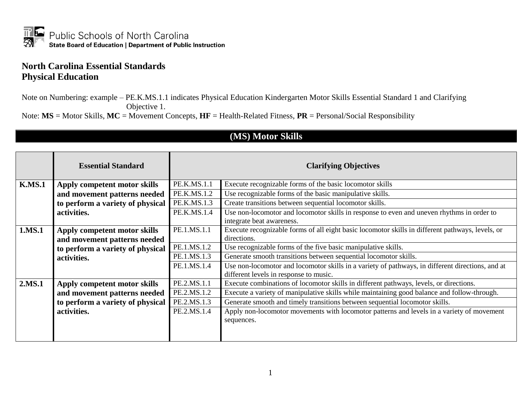

## **North Carolina Essential Standards Physical Education**

Note on Numbering: example – PE.K.MS.1.1 indicates Physical Education Kindergarten Motor Skills Essential Standard 1 and Clarifying Objective 1.

Note: **MS** = Motor Skills, **MC** = Movement Concepts, **HF** = Health-Related Fitness, **PR** = Personal/Social Responsibility

|               | <b>Essential Standard</b>        | <b>Clarifying Objectives</b> |                                                                                                                                            |
|---------------|----------------------------------|------------------------------|--------------------------------------------------------------------------------------------------------------------------------------------|
| <b>K.MS.1</b> | Apply competent motor skills     | PE.K.MS.1.1                  | Execute recognizable forms of the basic locomotor skills                                                                                   |
|               | and movement patterns needed     | PE.K.MS.1.2                  | Use recognizable forms of the basic manipulative skills.                                                                                   |
|               | to perform a variety of physical | PE.K.MS.1.3                  | Create transitions between sequential locomotor skills.                                                                                    |
|               | activities.                      | PE.K.MS.1.4                  | Use non-locomotor and locomotor skills in response to even and uneven rhythms in order to<br>integrate beat awareness.                     |
| 1.MS.1        | Apply competent motor skills     | PE.1.MS.1.1                  | Execute recognizable forms of all eight basic locomotor skills in different pathways, levels, or                                           |
|               | and movement patterns needed     |                              | directions.                                                                                                                                |
|               | to perform a variety of physical | PE.1.MS.1.2                  | Use recognizable forms of the five basic manipulative skills.                                                                              |
|               | activities.                      | PE.1.MS.1.3                  | Generate smooth transitions between sequential locomotor skills.                                                                           |
|               |                                  | PE.1.MS.1.4                  | Use non-locomotor and locomotor skills in a variety of pathways, in different directions, and at<br>different levels in response to music. |
| 2.MS.1        | Apply competent motor skills     | PE.2.MS.1.1                  | Execute combinations of locomotor skills in different pathways, levels, or directions.                                                     |
|               | and movement patterns needed     | PE.2.MS.1.2                  | Execute a variety of manipulative skills while maintaining good balance and follow-through.                                                |
|               | to perform a variety of physical | PE.2.MS.1.3                  | Generate smooth and timely transitions between sequential locomotor skills.                                                                |
|               | activities.                      | PE.2.MS.1.4                  | Apply non-locomotor movements with locomotor patterns and levels in a variety of movement<br>sequences.                                    |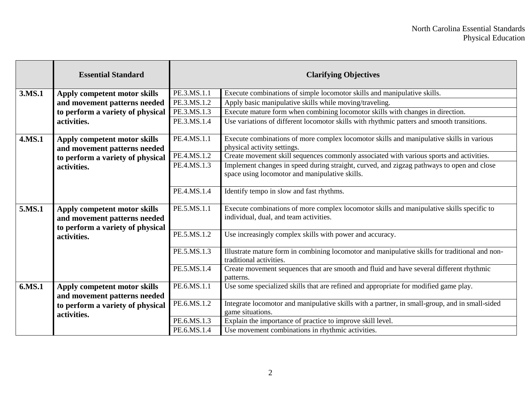|        | <b>Essential Standard</b>                                    | <b>Clarifying Objectives</b> |                                                                                                                                             |
|--------|--------------------------------------------------------------|------------------------------|---------------------------------------------------------------------------------------------------------------------------------------------|
| 3.MS.1 | Apply competent motor skills                                 | PE.3.MS.1.1                  | Execute combinations of simple locomotor skills and manipulative skills.                                                                    |
|        | and movement patterns needed                                 | PE.3.MS.1.2                  | Apply basic manipulative skills while moving/traveling.                                                                                     |
|        | to perform a variety of physical                             | PE.3.MS.1.3                  | Execute mature form when combining locomotor skills with changes in direction.                                                              |
|        | activities.                                                  | PE.3.MS.1.4                  | Use variations of different locomotor skills with rhythmic patters and smooth transitions.                                                  |
| 4.MS.1 | Apply competent motor skills<br>and movement patterns needed | PE.4.MS.1.1                  | Execute combinations of more complex locomotor skills and manipulative skills in various<br>physical activity settings.                     |
|        | to perform a variety of physical                             | PE.4.MS.1.2                  | Create movement skill sequences commonly associated with various sports and activities.                                                     |
|        | activities.                                                  | PE.4.MS.1.3                  | Implement changes in speed during straight, curved, and zigzag pathways to open and close<br>space using locomotor and manipulative skills. |
|        |                                                              | PE.4.MS.1.4                  | Identify tempo in slow and fast rhythms.                                                                                                    |
| 5.MS.1 | Apply competent motor skills<br>and movement patterns needed | PE.5.MS.1.1                  | Execute combinations of more complex locomotor skills and manipulative skills specific to<br>individual, dual, and team activities.         |
|        | to perform a variety of physical<br>activities.              | PE.5.MS.1.2                  | Use increasingly complex skills with power and accuracy.                                                                                    |
|        |                                                              | PE.5.MS.1.3                  | Illustrate mature form in combining locomotor and manipulative skills for traditional and non-<br>traditional activities.                   |
|        |                                                              | PE.5.MS.1.4                  | Create movement sequences that are smooth and fluid and have several different rhythmic<br>patterns.                                        |
| 6.MS.1 | Apply competent motor skills                                 | PE.6.MS.1.1                  | Use some specialized skills that are refined and appropriate for modified game play.                                                        |
|        | and movement patterns needed                                 |                              |                                                                                                                                             |
|        | to perform a variety of physical                             | PE.6.MS.1.2                  | Integrate locomotor and manipulative skills with a partner, in small-group, and in small-sided                                              |
|        | activities.                                                  |                              | game situations.                                                                                                                            |
|        |                                                              | PE.6.MS.1.3                  | Explain the importance of practice to improve skill level.                                                                                  |
|        |                                                              | PE.6.MS.1.4                  | Use movement combinations in rhythmic activities.                                                                                           |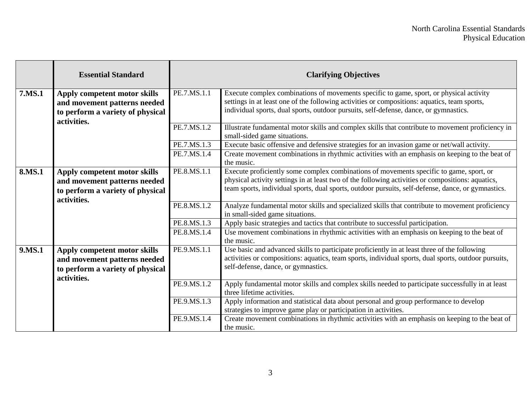|        | <b>Essential Standard</b>                                                                                       |             | <b>Clarifying Objectives</b>                                                                                                                                                                                                                                                                       |
|--------|-----------------------------------------------------------------------------------------------------------------|-------------|----------------------------------------------------------------------------------------------------------------------------------------------------------------------------------------------------------------------------------------------------------------------------------------------------|
| 7.MS.1 | Apply competent motor skills<br>and movement patterns needed<br>to perform a variety of physical<br>activities. | PE.7.MS.1.1 | Execute complex combinations of movements specific to game, sport, or physical activity<br>settings in at least one of the following activities or compositions: aquatics, team sports,<br>individual sports, dual sports, outdoor pursuits, self-defense, dance, or gymnastics.                   |
|        |                                                                                                                 | PE.7.MS.1.2 | Illustrate fundamental motor skills and complex skills that contribute to movement proficiency in<br>small-sided game situations.                                                                                                                                                                  |
|        |                                                                                                                 | PE.7.MS.1.3 | Execute basic offensive and defensive strategies for an invasion game or net/wall activity.                                                                                                                                                                                                        |
|        |                                                                                                                 | PE.7.MS.1.4 | Create movement combinations in rhythmic activities with an emphasis on keeping to the beat of<br>the music.                                                                                                                                                                                       |
| 8.MS.1 | Apply competent motor skills<br>and movement patterns needed<br>to perform a variety of physical<br>activities. | PE.8.MS.1.1 | Execute proficiently some complex combinations of movements specific to game, sport, or<br>physical activity settings in at least two of the following activities or compositions: aquatics,<br>team sports, individual sports, dual sports, outdoor pursuits, self-defense, dance, or gymnastics. |
|        |                                                                                                                 | PE.8.MS.1.2 | Analyze fundamental motor skills and specialized skills that contribute to movement proficiency<br>in small-sided game situations.                                                                                                                                                                 |
|        |                                                                                                                 | PE.8.MS.1.3 | Apply basic strategies and tactics that contribute to successful participation.                                                                                                                                                                                                                    |
|        |                                                                                                                 | PE.8.MS.1.4 | Use movement combinations in rhythmic activities with an emphasis on keeping to the beat of<br>the music.                                                                                                                                                                                          |
| 9.MS.1 | Apply competent motor skills<br>and movement patterns needed<br>to perform a variety of physical<br>activities. | PE.9.MS.1.1 | Use basic and advanced skills to participate proficiently in at least three of the following<br>activities or compositions: aquatics, team sports, individual sports, dual sports, outdoor pursuits,<br>self-defense, dance, or gymnastics.                                                        |
|        |                                                                                                                 | PE.9.MS.1.2 | Apply fundamental motor skills and complex skills needed to participate successfully in at least<br>three lifetime activities.                                                                                                                                                                     |
|        |                                                                                                                 | PE.9.MS.1.3 | Apply information and statistical data about personal and group performance to develop<br>strategies to improve game play or participation in activities.                                                                                                                                          |
|        |                                                                                                                 | PE.9.MS.1.4 | Create movement combinations in rhythmic activities with an emphasis on keeping to the beat of<br>the music.                                                                                                                                                                                       |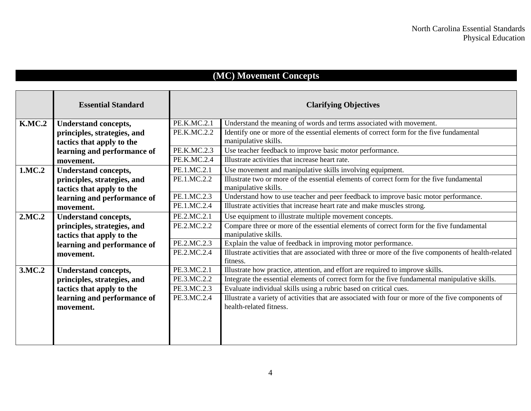## **(MC) Movement Concepts**

|               | <b>Essential Standard</b>   |             | <b>Clarifying Objectives</b>                                                                                      |
|---------------|-----------------------------|-------------|-------------------------------------------------------------------------------------------------------------------|
| <b>K.MC.2</b> | <b>Understand concepts,</b> | PE.K.MC.2.1 | Understand the meaning of words and terms associated with movement.                                               |
|               | principles, strategies, and | PE.K.MC.2.2 | Identify one or more of the essential elements of correct form for the five fundamental                           |
|               | tactics that apply to the   |             | manipulative skills.                                                                                              |
|               | learning and performance of | PE.K.MC.2.3 | Use teacher feedback to improve basic motor performance.                                                          |
|               | movement.                   | PE.K.MC.2.4 | Illustrate activities that increase heart rate.                                                                   |
| 1.MC.2        | <b>Understand concepts,</b> | PE.1.MC.2.1 | Use movement and manipulative skills involving equipment.                                                         |
|               | principles, strategies, and | PE.1.MC.2.2 | Illustrate two or more of the essential elements of correct form for the five fundamental                         |
|               | tactics that apply to the   |             | manipulative skills.                                                                                              |
|               | learning and performance of | PE.1.MC.2.3 | Understand how to use teacher and peer feedback to improve basic motor performance.                               |
|               | movement.                   | PE.1.MC.2.4 | Illustrate activities that increase heart rate and make muscles strong.                                           |
| 2.MC.2        | <b>Understand concepts,</b> | PE.2.MC.2.1 | Use equipment to illustrate multiple movement concepts.                                                           |
|               | principles, strategies, and | PE.2.MC.2.2 | Compare three or more of the essential elements of correct form for the five fundamental                          |
|               | tactics that apply to the   |             | manipulative skills.                                                                                              |
|               | learning and performance of | PE.2.MC.2.3 | Explain the value of feedback in improving motor performance.                                                     |
|               | movement.                   | PE.2.MC.2.4 | Illustrate activities that are associated with three or more of the five components of health-related<br>fitness. |
| 3.MC.2        | <b>Understand concepts,</b> | PE.3.MC.2.1 | Illustrate how practice, attention, and effort are required to improve skills.                                    |
|               | principles, strategies, and | PE.3.MC.2.2 | Integrate the essential elements of correct form for the five fundamental manipulative skills.                    |
|               | tactics that apply to the   | PE.3.MC.2.3 | Evaluate individual skills using a rubric based on critical cues.                                                 |
|               | learning and performance of | PE.3.MC.2.4 | Illustrate a variety of activities that are associated with four or more of the five components of                |
|               | movement.                   |             | health-related fitness.                                                                                           |
|               |                             |             |                                                                                                                   |
|               |                             |             |                                                                                                                   |
|               |                             |             |                                                                                                                   |
|               |                             |             |                                                                                                                   |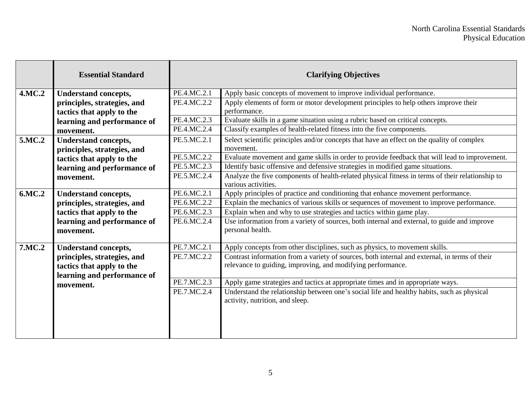|               | <b>Essential Standard</b>   |             | <b>Clarifying Objectives</b>                                                                                            |
|---------------|-----------------------------|-------------|-------------------------------------------------------------------------------------------------------------------------|
| 4.MC.2        | <b>Understand concepts,</b> | PE.4.MC.2.1 | Apply basic concepts of movement to improve individual performance.                                                     |
|               | principles, strategies, and | PE.4.MC.2.2 | Apply elements of form or motor development principles to help others improve their                                     |
|               | tactics that apply to the   |             | performance.                                                                                                            |
|               | learning and performance of | PE.4.MC.2.3 | Evaluate skills in a game situation using a rubric based on critical concepts.                                          |
|               | movement.                   | PE.4.MC.2.4 | Classify examples of health-related fitness into the five components.                                                   |
| 5.MC.2        | <b>Understand concepts,</b> | PE.5.MC.2.1 | Select scientific principles and/or concepts that have an effect on the quality of complex                              |
|               | principles, strategies, and |             | movement.                                                                                                               |
|               | tactics that apply to the   | PE.5.MC.2.2 | Evaluate movement and game skills in order to provide feedback that will lead to improvement.                           |
|               | learning and performance of | PE.5.MC.2.3 | Identify basic offensive and defensive strategies in modified game situations.                                          |
|               | movement.                   | PE.5.MC.2.4 | Analyze the five components of health-related physical fitness in terms of their relationship to<br>various activities. |
| 6.MC.2        | <b>Understand concepts,</b> | PE.6.MC.2.1 | Apply principles of practice and conditioning that enhance movement performance.                                        |
|               | principles, strategies, and | PE.6.MC.2.2 | Explain the mechanics of various skills or sequences of movement to improve performance.                                |
|               | tactics that apply to the   | PE.6.MC.2.3 | Explain when and why to use strategies and tactics within game play.                                                    |
|               | learning and performance of | PE.6.MC.2.4 | Use information from a variety of sources, both internal and external, to guide and improve                             |
|               | movement.                   |             | personal health.                                                                                                        |
| <b>7.MC.2</b> | <b>Understand concepts,</b> | PE.7.MC.2.1 | Apply concepts from other disciplines, such as physics, to movement skills.                                             |
|               | principles, strategies, and | PE.7.MC.2.2 | Contrast information from a variety of sources, both internal and external, in terms of their                           |
|               | tactics that apply to the   |             | relevance to guiding, improving, and modifying performance.                                                             |
|               | learning and performance of |             |                                                                                                                         |
|               | movement.                   | PE.7.MC.2.3 | Apply game strategies and tactics at appropriate times and in appropriate ways.                                         |
|               |                             | PE.7.MC.2.4 | Understand the relationship between one's social life and healthy habits, such as physical                              |
|               |                             |             | activity, nutrition, and sleep.                                                                                         |
|               |                             |             |                                                                                                                         |
|               |                             |             |                                                                                                                         |
|               |                             |             |                                                                                                                         |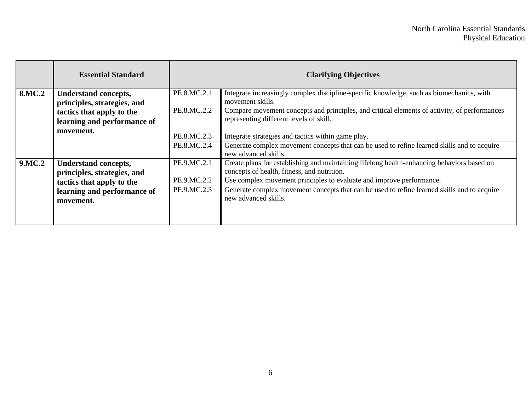|               | <b>Essential Standard</b>                                  | <b>Clarifying Objectives</b> |                                                                                                                                           |
|---------------|------------------------------------------------------------|------------------------------|-------------------------------------------------------------------------------------------------------------------------------------------|
| <b>8.MC.2</b> | <b>Understand concepts,</b><br>principles, strategies, and | PE.8.MC.2.1                  | Integrate increasingly complex discipline-specific knowledge, such as biomechanics, with<br>movement skills.                              |
|               | tactics that apply to the<br>learning and performance of   | PE.8.MC.2.2                  | Compare movement concepts and principles, and critical elements of activity, of performances<br>representing different levels of skill.   |
|               | movement.                                                  | PE.8.MC.2.3                  | Integrate strategies and tactics within game play.                                                                                        |
|               |                                                            | PE.8.MC.2.4                  | Generate complex movement concepts that can be used to refine learned skills and to acquire<br>new advanced skills.                       |
| <b>9.MC.2</b> | <b>Understand concepts,</b><br>principles, strategies, and | PE.9.MC.2.1                  | Create plans for establishing and maintaining lifelong health-enhancing behaviors based on<br>concepts of health, fitness, and nutrition. |
|               | tactics that apply to the                                  | PE.9.MC.2.2                  | Use complex movement principles to evaluate and improve performance.                                                                      |
|               | learning and performance of<br>movement.                   | PE.9.MC.2.3                  | Generate complex movement concepts that can be used to refine learned skills and to acquire<br>new advanced skills.                       |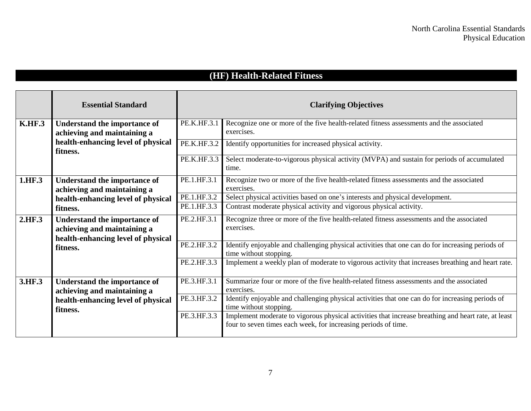## **(HF) Health-Related Fitness**

|               | <b>Essential Standard</b>                                                                                |             | <b>Clarifying Objectives</b>                                                                                                                                          |
|---------------|----------------------------------------------------------------------------------------------------------|-------------|-----------------------------------------------------------------------------------------------------------------------------------------------------------------------|
| <b>K.HF.3</b> | <b>Understand the importance of</b>                                                                      | PE.K.HF.3.1 | Recognize one or more of the five health-related fitness assessments and the associated                                                                               |
|               | achieving and maintaining a                                                                              |             | exercises.                                                                                                                                                            |
|               | health-enhancing level of physical                                                                       | PE.K.HF.3.2 | Identify opportunities for increased physical activity.                                                                                                               |
|               | fitness.                                                                                                 |             |                                                                                                                                                                       |
|               |                                                                                                          | PE.K.HF.3.3 | Select moderate-to-vigorous physical activity (MVPA) and sustain for periods of accumulated                                                                           |
|               |                                                                                                          |             | time.                                                                                                                                                                 |
| 1.HF.3        | <b>Understand the importance of</b>                                                                      | PE.1.HF.3.1 | Recognize two or more of the five health-related fitness assessments and the associated                                                                               |
|               | achieving and maintaining a                                                                              |             | exercises.                                                                                                                                                            |
|               | health-enhancing level of physical                                                                       | PE.1.HF.3.2 | Select physical activities based on one's interests and physical development.                                                                                         |
|               | fitness.                                                                                                 | PE.1.HF.3.3 | Contrast moderate physical activity and vigorous physical activity.                                                                                                   |
| 2.HF.3        | <b>Understand the importance of</b><br>achieving and maintaining a<br>health-enhancing level of physical | PE.2.HF.3.1 | Recognize three or more of the five health-related fitness assessments and the associated<br>exercises.                                                               |
|               | fitness.                                                                                                 | PE.2.HF.3.2 | Identify enjoyable and challenging physical activities that one can do for increasing periods of<br>time without stopping.                                            |
|               |                                                                                                          | PE.2.HF.3.3 | Implement a weekly plan of moderate to vigorous activity that increases breathing and heart rate.                                                                     |
| 3.HF.3        | <b>Understand the importance of</b><br>achieving and maintaining a                                       | PE.3.HF.3.1 | Summarize four or more of the five health-related fitness assessments and the associated<br>exercises.                                                                |
|               | health-enhancing level of physical                                                                       | PE.3.HF.3.2 | Identify enjoyable and challenging physical activities that one can do for increasing periods of                                                                      |
|               | fitness.                                                                                                 |             | time without stopping.                                                                                                                                                |
|               |                                                                                                          | PE.3.HF.3.3 | Implement moderate to vigorous physical activities that increase breathing and heart rate, at least<br>four to seven times each week, for increasing periods of time. |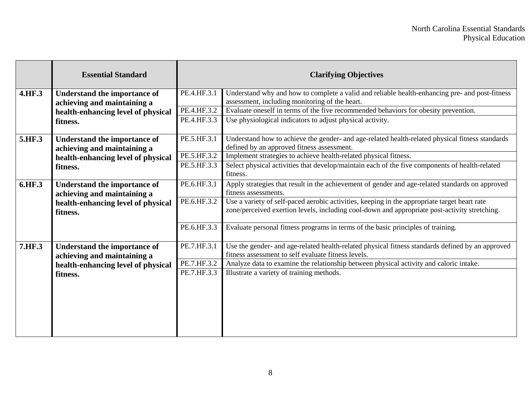|        | <b>Essential Standard</b>                                          | <b>Clarifying Objectives</b> |                                                                                                                                                                                               |
|--------|--------------------------------------------------------------------|------------------------------|-----------------------------------------------------------------------------------------------------------------------------------------------------------------------------------------------|
| 4.HF.3 | <b>Understand the importance of</b><br>achieving and maintaining a | PE.4.HF.3.1                  | Understand why and how to complete a valid and reliable health-enhancing pre- and post-fitness<br>assessment, including monitoring of the heart.                                              |
|        | health-enhancing level of physical                                 | PE.4.HF.3.2                  | Evaluate oneself in terms of the five recommended behaviors for obesity prevention.                                                                                                           |
|        | fitness.                                                           | PE.4.HF.3.3                  | Use physiological indicators to adjust physical activity.                                                                                                                                     |
| 5.HF.3 | <b>Understand the importance of</b><br>achieving and maintaining a | PE.5.HF.3.1                  | Understand how to achieve the gender- and age-related health-related physical fitness standards<br>defined by an approved fitness assessment.                                                 |
|        | health-enhancing level of physical                                 | PE.5.HF.3.2                  | Implement strategies to achieve health-related physical fitness.                                                                                                                              |
|        | fitness.                                                           | PE.5.HF.3.3                  | Select physical activities that develop/maintain each of the five components of health-related<br>fitness.                                                                                    |
| 6.HF.3 | <b>Understand the importance of</b><br>achieving and maintaining a | PE.6.HF.3.1                  | Apply strategies that result in the achievement of gender and age-related standards on approved<br>fitness assessments.                                                                       |
|        | health-enhancing level of physical<br>fitness.                     | PE.6.HF.3.2                  | Use a variety of self-paced aerobic activities, keeping in the appropriate target heart rate<br>zone/perceived exertion levels, including cool-down and appropriate post-activity stretching. |
|        |                                                                    | PE.6.HF.3.3                  | Evaluate personal fitness programs in terms of the basic principles of training.                                                                                                              |
| 7.HF.3 | <b>Understand the importance of</b><br>achieving and maintaining a | PE.7.HF.3.1                  | Use the gender- and age-related health-related physical fitness standards defined by an approved<br>fitness assessment to self evaluate fitness levels.                                       |
|        | health-enhancing level of physical                                 | PE.7.HF.3.2                  | Analyze data to examine the relationship between physical activity and caloric intake.                                                                                                        |
|        | fitness.                                                           | PE.7.HF.3.3                  | Illustrate a variety of training methods.                                                                                                                                                     |
|        |                                                                    |                              |                                                                                                                                                                                               |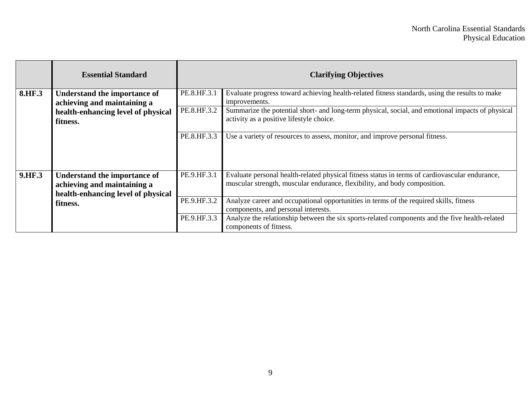|        | <b>Essential Standard</b>                                                                                            |             | <b>Clarifying Objectives</b>                                                                                                                                                |
|--------|----------------------------------------------------------------------------------------------------------------------|-------------|-----------------------------------------------------------------------------------------------------------------------------------------------------------------------------|
| 8.HF.3 | <b>Understand the importance of</b><br>achieving and maintaining a<br>health-enhancing level of physical<br>fitness. | PE.8.HF.3.1 | Evaluate progress toward achieving health-related fitness standards, using the results to make<br>improvements.                                                             |
|        |                                                                                                                      | PE.8.HF.3.2 | Summarize the potential short- and long-term physical, social, and emotional impacts of physical<br>activity as a positive lifestyle choice.                                |
|        |                                                                                                                      | PE.8.HF.3.3 | Use a variety of resources to assess, monitor, and improve personal fitness.                                                                                                |
| 9.HF.3 | <b>Understand the importance of</b><br>achieving and maintaining a<br>health-enhancing level of physical<br>fitness. | PE.9.HF.3.1 | Evaluate personal health-related physical fitness status in terms of cardiovascular endurance,<br>muscular strength, muscular endurance, flexibility, and body composition. |
|        |                                                                                                                      | PE.9.HF.3.2 | Analyze career and occupational opportunities in terms of the required skills, fitness<br>components, and personal interests.                                               |
|        |                                                                                                                      | PE.9.HF.3.3 | Analyze the relationship between the six sports-related components and the five health-related<br>components of fitness.                                                    |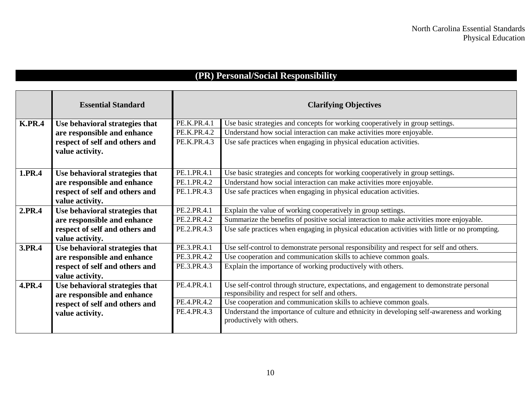## **(PR) Personal/Social Responsibility**

|               | <b>Essential Standard</b>      |             | <b>Clarifying Objectives</b>                                                                   |
|---------------|--------------------------------|-------------|------------------------------------------------------------------------------------------------|
| <b>K.PR.4</b> | Use behavioral strategies that | PE.K.PR.4.1 | Use basic strategies and concepts for working cooperatively in group settings.                 |
|               | are responsible and enhance    | PE.K.PR.4.2 | Understand how social interaction can make activities more enjoyable.                          |
|               | respect of self and others and | PE.K.PR.4.3 | Use safe practices when engaging in physical education activities.                             |
|               | value activity.                |             |                                                                                                |
|               |                                |             |                                                                                                |
| 1.PR.4        | Use behavioral strategies that | PE.1.PR.4.1 | Use basic strategies and concepts for working cooperatively in group settings.                 |
|               | are responsible and enhance    | PE.1.PR.4.2 | Understand how social interaction can make activities more enjoyable.                          |
|               | respect of self and others and | PE.1.PR.4.3 | Use safe practices when engaging in physical education activities.                             |
|               | value activity.                |             |                                                                                                |
| 2.PR.4        | Use behavioral strategies that | PE.2.PR.4.1 | Explain the value of working cooperatively in group settings.                                  |
|               | are responsible and enhance    | PE.2.PR.4.2 | Summarize the benefits of positive social interaction to make activities more enjoyable.       |
|               | respect of self and others and | PE.2.PR.4.3 | Use safe practices when engaging in physical education activities with little or no prompting. |
|               | value activity.                |             |                                                                                                |
| 3.PR.4        | Use behavioral strategies that | PE.3.PR.4.1 | Use self-control to demonstrate personal responsibility and respect for self and others.       |
|               | are responsible and enhance    | PE.3.PR.4.2 | Use cooperation and communication skills to achieve common goals.                              |
|               | respect of self and others and | PE.3.PR.4.3 | Explain the importance of working productively with others.                                    |
|               | value activity.                |             |                                                                                                |
| 4.PR.4        | Use behavioral strategies that | PE.4.PR.4.1 | Use self-control through structure, expectations, and engagement to demonstrate personal       |
|               | are responsible and enhance    |             | responsibility and respect for self and others.                                                |
|               | respect of self and others and | PE.4.PR.4.2 | Use cooperation and communication skills to achieve common goals.                              |
|               | value activity.                | PE.4.PR.4.3 | Understand the importance of culture and ethnicity in developing self-awareness and working    |
|               |                                |             | productively with others.                                                                      |
|               |                                |             |                                                                                                |